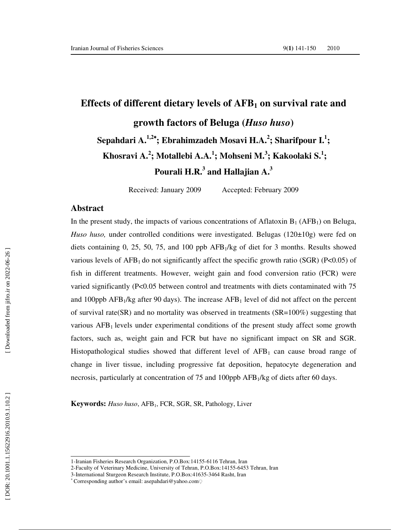# **Effects of different dietary levels of AFB <sup>1</sup> on survival rate and growth factors of Beluga (***Huso huso***) Sepahdari A.1,2**<sup>∗</sup>**; Ebrahimzadeh Mosavi H.A. 2 ; Sharifpour I. 1 ;**  Khosravi A.<sup>2</sup>; Motallebi A.A.<sup>1</sup>; Mohseni M.<sup>3</sup>; Kakoolaki S.<sup>1</sup>; **Pourali H.R. 3 and Hallajian A. 3**

Received: January 2009 Accepted: February 2009

#### **Abstract**

In the present study, the impacts of various concentrations of Aflatoxin  $B_1$  (AFB<sub>1</sub>) on Beluga, *Huso huso*, under controlled conditions were investigated. Belugas (120±10g) were fed on diets containing 0, 25, 50, 75, and 100 ppb AFB <sup>1</sup>/kg of diet for 3 months. Results showed various levels of  $AFB<sub>1</sub>$  do not significantly affect the specific growth ratio (SGR) (P<0.05) of fish in different treatments. However, weight gain and food conversion ratio (FCR) were varied significantly (P<0.05 between control and treatments with diets contaminated with 75 and 100ppb  $AFB<sub>1</sub>/kg$  after 90 days). The increase  $AFB<sub>1</sub>$  level of did not affect on the percent of survival rate(SR) and no mortality was observed in treatments ( $SR=100\%$ ) suggesting that various  $AFB<sub>1</sub>$  levels under experimental conditions of the present study affect some growth factors, such as, weight gain and FCR but have no significant impact on SR and SGR. Histopathological studies showed that different level of AFB<sub>1</sub> can cause broad range of change in liver tissue, including progressive fat deposition, hepatocyte degeneration and necrosis, particularly at concentration of 75 and 100ppb AFB <sup>1</sup>/kg of diets after 60 days.

**Keywords:** *Huso huso*, AFB <sup>1</sup>, FCR, SGR, SR, Pathology, Liver

<sup>1-</sup>Iranian Fisheries Research Organization, P.O.Box:14155-6116 Tehran, Iran

<sup>2-</sup>Faculty of Veterinary Medicine, University of Tehran, P.O.Box:14155-6453 Tehran, Iran

<sup>3-</sup>International Sturgeon Research Institute, P.O.Box:41635-3464 Rasht, Iran

Corresponding author's email: asepahdari@yahoo.com ◌ِ ∗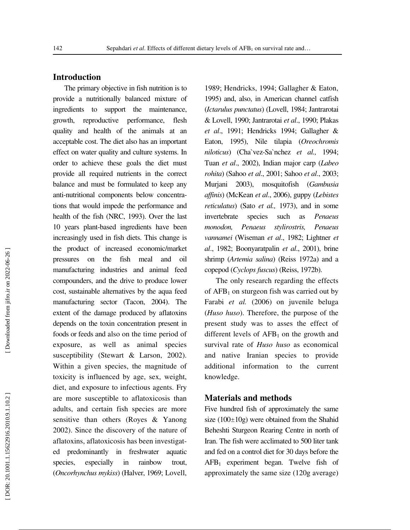### **Introduction**

The primary objective in fish nutrition is to provide a nutritionally balanced mixture of ingredients to support the maintenance, growth, reproductive performance, flesh quality and health of the animals at an acceptable cost. The diet also has an important effect on water quality and culture systems. In order to achieve these goals the diet must provide all required nutrients in the correct balance and must be formulated to keep any anti-nutritional components below concentrations that would impede the performance and health of the fish (NRC, 1993). Over the last 10 years plant-based ingredients have been increasingly used in fish diets. This change is the product of increased economic/market pressures on the fish meal and oil manufacturing industries and animal feed compounders, and the drive to produce lower cost, sustainable alternatives by the aqua feed manufacturing sector (Tacon, 2004). The extent of the damage produced by aflatoxins depends on the toxin concentration present in foods or feeds and also on the time period of exposure, as well as animal species susceptibility (Stewart & Larson, 2002). Within a given species, the magnitude of toxicity is influenced by age, sex, weight, diet, and exposure to infectious agents. Fry are more susceptible to aflatoxicosis than adults, and certain fish species are more sensitive than others (Royes & Yanong 2002). Since the discovery of the nature of aflatoxins, aflatoxicosis has been investigated predominantly in freshwater aquatic species, especially in rainbow trout, (*Oncorhynchus mykiss*) (Halver, 1969; Lovell,

1989; Hendricks, 1994; Gallagher & Eaton, 1995) and, also, in American channel catfish (*Ictarulus punctatus*) (Lovell, 1984; Jantrarotai & Lovell, 1990; Jantrarotai *et al*., 1990; Plakas *et al*., 1991; Hendricks 1994; Gallagher & Eaton, 1995), Nile tilapia (*Oreochromis niloticus*) (Cha`vez-Sa`nchez *et al.,* 1994; Tuan *et al*., 2002), Indian major carp (*Labeo rohita*) (Sahoo *et al*., 2001; Sahoo *et al*., 2003; Murjani 2003), mosquitofish (*Gambusia affinis*) (McKean *et al*., 2006), guppy (*Lebistes reticulatus*) (Sato *et al.,* 1973), and in some invertebrate species such as *Penaeus monodon, Penaeus stylirostris, Penaeus vannamei* (Wiseman *et al*., 1982; Lightner *et al*., 1982; Boonyaratpalin *et al*., 2001), brine shrimp (*Artemia salina*) (Reiss 1972a) and a copepod (*Cyclops fuscus*) (Reiss, 1972b).

The only research regarding the effects of AFB <sup>1</sup> on sturgeon fish was carried out by Farabi *et al.* (2006) on juvenile beluga (*Huso huso*). Therefore, the purpose of the present study was to asses the effect of different levels of AFB <sup>1</sup> on the growth and survival rate of *Huso huso* as economical and native Iranian species to provide additional information to the current knowledge.

#### **Materials and methods**

Five hundred fish of approximately the same size (100 ±10g) were obtained from the Shahid Beheshti Sturgeon Rearing Centre in north of Iran. The fish were acclimated to 500 liter tank and fed on a control diet for 30 days before the AFB <sup>1</sup> experiment began. Twelve fish of approximately the same size (120g average)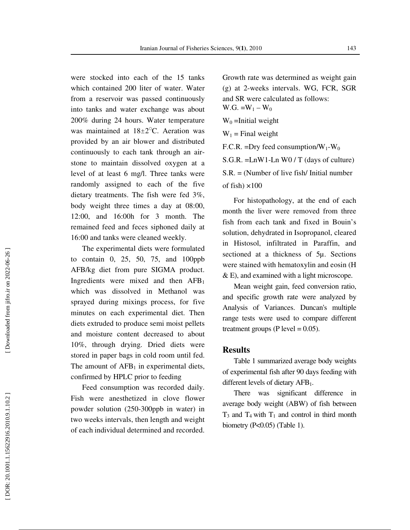were stocked into each of the 15 tanks which contained 200 liter of water. Water from a reservoir was passed continuously into tanks and water exchange was about 200% during 24 hours. Water temperature was maintained at  $18 \pm 2$ <sup>o</sup>C. Aeration was provided by an air blower and distributed continuously to each tank through an airstone to maintain dissolved oxygen at a level of at least 6 mg/l. Three tanks were randomly assigned to each of the five dietary treatments. The fish were fed 3%, body weight three times a day at 08:00, 12:00, and 16:00h for 3 month. The remained feed and feces siphoned daily at 16:00 and tanks were cleaned weekly.

The experimental diets were formulated to contain 0, 25, 50, 75, and 100ppb AFB/kg diet from pure SIGMA product. Ingredients were mixed and then AFB 1 which was dissolved in Methanol was sprayed during mixings process, for five minutes on each experimental diet. Then diets extruded to produce semi moist pellets and moisture content decreased to about 10%, through drying. Dried diets were stored in paper bags in cold room until fed. The amount of  $AFB<sub>1</sub>$  in experimental diets, confirmed by HPLC prior to feeding

Feed consumption was recorded daily. Fish were anesthetized in clove flower powder solution (250-300ppb in water) in two weeks intervals, then length and weight of each individual determined and recorded. Growth rate was determined as weight gain (g) at 2-weeks intervals. WG, FCR, SGR and SR were calculated as follows:  $W.G. = W_1 - W_0$  $W_0$  =Initial weight  $W_1$  = Final weight F.C.R. = Dry feed consumption/ $W_1-W_0$ S.G.R. =LnW1-Ln W0 / T (days of culture) S.R. = (Number of live fish/ Initial number of fish)  $\times100$ 

For histopathology, at the end of each month the liver were removed from three fish from each tank and fixed in Bouin's solution, dehydrated in Isopropanol, cleared in Histosol, infiltrated in Paraffin, and sectioned at a thickness of 5µ. Sections were stained with hematoxylin and eosin (H & E), and examined with a light microscope.

Mean weight gain, feed conversion ratio, and specific growth rate were analyzed by Analysis of Variances. Duncan's multiple range tests were used to compare different treatment groups (P level  $= 0.05$ ).

#### **Results**

Table 1 summarized average body weights of experimental fish after 90 days feeding with different levels of dietary AFB 1.

There was significant difference in average body weight (ABW) of fish between  $T_3$  and  $T_4$  with  $T_1$  and control in third month biometry (P<0.05) (Table 1).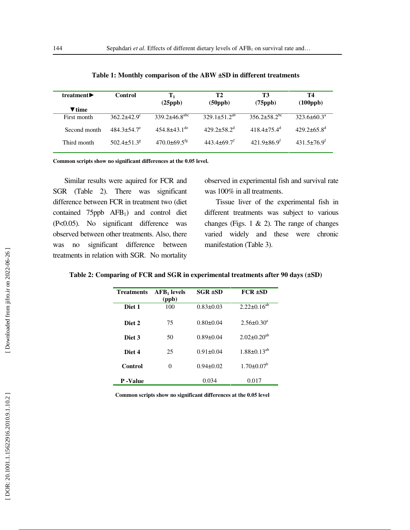| treatment $\blacktriangleright$ | Control              | $\mathbf{T}_1$                  | T2                          | T3                           | Т4                          |
|---------------------------------|----------------------|---------------------------------|-----------------------------|------------------------------|-----------------------------|
| $\blacktriangledown$ time       |                      | (25ppb)                         | $(50 \text{ppb})$           | $(75 \text{ppb})$            | $(100 \text{ppb})$          |
|                                 |                      |                                 |                             |                              |                             |
| First month                     | $362.2+42.9^{\circ}$ | $339.2 \pm 46.8$ <sup>abc</sup> | $329.1 \pm 51.2^{ab}$       | $356.2 + 58.2$ <sup>bc</sup> | $323.6 + 60.3^a$            |
| Second month                    | $484.3 + 54.7^e$     | $454.8 + 43.1$ <sup>de</sup>    | $429.2 + 58.2^{\circ}$      | $418.4 + 75.4$ <sup>d</sup>  | $429.2 + 65.8$ <sup>d</sup> |
| Third month                     | $502.4 + 51.3^8$     | $470.0 \pm 69.5$ <sup>tg</sup>  | $443.4 + 69.7$ <sup>I</sup> | $421.9 + 86.9^{\mathrm{T}}$  | $431.5\pm76.9$ <sup>r</sup> |

**Table 1: Monthly comparison of the ABW ±SD in different treatments** 

**Common scripts show no significant differences at the 0.05 level.** 

Similar results were aquired for FCR and SGR (Table 2). There was significant difference between FCR in treatment two (diet contained 75ppb AFB <sup>1</sup>) and control diet (P<0.05). No significant difference was observed between other treatments. Also, there was no significant difference between treatments in relation with SGR. No mortality

observed in experimental fish and survival rate was 100% in all treatments.

Tissue liver of the experimental fish in different treatments was subject to various changes (Figs. 1  $\&$  2). The range of changes varied widely and these were chronic manifestation (Table 3).

#### **Table 2: Comparing of FCR and SGR in experimental treatments after 90 days (±SD)**

| <b>Treatments</b> | $AFB1$ levels<br>(ppb) | $SGR \pm SD$    | $FCR \pm SD$         |
|-------------------|------------------------|-----------------|----------------------|
| Diet 1            | 100                    | $0.83 \pm 0.03$ | $2.22 \pm 0.16^{ab}$ |
| Diet <sub>2</sub> | 75                     | $0.80 \pm 0.04$ | $2.56 \pm 0.30^a$    |
| Diet 3            | 50                     | $0.89 \pm 0.04$ | $2.02 \pm 0.20^{ab}$ |
| Diet 4            | 25                     | $0.91 \pm 0.04$ | $1.88 \pm 0.13^{ab}$ |
| Control           | 0                      | $0.94 + 0.02$   | $1.70 + 0.07^b$      |
| P-Value           |                        | 0.034           | 0.017                |

**Common scripts show no significant differences at the 0.05 level**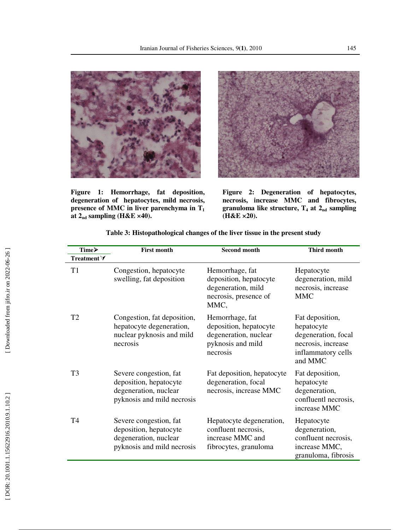

**Figure 1: Hemorrhage, fat deposition, degeneration of hepatocytes, mild necrosis, presence of MMC in liver parenchyma in T 1 at 2nd sampling (H&E ×40).** 



**Figure 2: Degeneration of hepatocytes, necrosis, increase MMC and fibrocytes,**  granuloma like structure, T<sub>4</sub> at 2<sub>nd</sub> sampling **(H&E ×20).** 

| Time≻               | <b>First month</b>                                                                                      | <b>Second month</b>                                                                                 | Third month                                                                                                 |
|---------------------|---------------------------------------------------------------------------------------------------------|-----------------------------------------------------------------------------------------------------|-------------------------------------------------------------------------------------------------------------|
| Treatment $\forall$ |                                                                                                         |                                                                                                     |                                                                                                             |
| T <sub>1</sub>      | Congestion, hepatocyte<br>swelling, fat deposition                                                      | Hemorrhage, fat<br>deposition, hepatocyte<br>degeneration, mild<br>necrosis, presence of<br>MMC,    | Hepatocyte<br>degeneration, mild<br>necrosis, increase<br><b>MMC</b>                                        |
| T <sub>2</sub>      | Congestion, fat deposition,<br>hepatocyte degeneration,<br>nuclear pyknosis and mild<br>necrosis        | Hemorrhage, fat<br>deposition, hepatocyte<br>degeneration, nuclear<br>pyknosis and mild<br>necrosis | Fat deposition,<br>hepatocyte<br>degeneration, focal<br>necrosis, increase<br>inflammatory cells<br>and MMC |
| T <sub>3</sub>      | Severe congestion, fat<br>deposition, hepatocyte<br>degeneration, nuclear<br>pyknosis and mild necrosis | Fat deposition, hepatocyte<br>degeneration, focal<br>necrosis, increase MMC                         | Fat deposition,<br>hepatocyte<br>degeneration,<br>confluentl necrosis,<br>increase MMC                      |
| T <sub>4</sub>      | Severe congestion, fat<br>deposition, hepatocyte<br>degeneration, nuclear<br>pyknosis and mild necrosis | Hepatocyte degeneration,<br>confluent necrosis,<br>increase MMC and<br>fibrocytes, granuloma        | Hepatocyte<br>degeneration,<br>confluent necrosis,<br>increase MMC,<br>granuloma, fibrosis                  |

**Table 3: Histopathological changes of the liver tissue in the present study**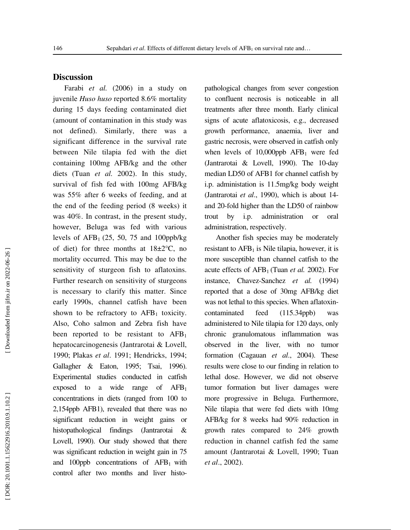## **Discussion**

Farabi *et al.* (2006) in a study on juvenile *Huso huso* reported 8.6% mortality during 15 days feeding contaminated diet (amount of contamination in this study was not defined). Similarly, there was a significant difference in the survival rate between Nile tilapia fed with the diet containing 100mg AFB/kg and the other diets (Tuan *et al.* 2002). In this study, survival of fish fed with 100mg AFB/kg was 55% after 6 weeks of feeding, and at the end of the feeding period (8 weeks) it was 40%. In contrast, in the present study, however, Beluga was fed with various levels of  $AFB_1$  (25, 50, 75 and 100ppb/kg of diet) for three months at  $18\pm2\degree C$ , no mortality occurred. This may be due to the sensitivity of sturgeon fish to aflatoxins. Further research on sensitivity of sturgeons is necessary to clarify this matter. Since early 1990s, channel catfish have been shown to be refractory to  $AFB<sub>1</sub>$  toxicity. Also, Coho salmon and Zebra fish have been reported to be resistant to  $AFB<sub>1</sub>$ hepatocarcinogenesis (Jantrarotai & Lovell, 1990; Plakas *et al*. 1991; Hendricks, 1994; Gallagher & Eaton, 1995; Tsai, 1996). Experimental studies conducted in catfish exposed to a wide range of AFB 1 concentrations in diets (ranged from 100 to 2,154ppb AFB1), revealed that there was no significant reduction in weight gains or histopathological findings (Jantrarotai & Lovell, 1990). Our study showed that there was significant reduction in weight gain in 75 and 100ppb concentrations of  $AFB<sub>1</sub>$  with control after two months and liver histopathological changes from sever congestion to confluent necrosis is noticeable in all treatments after three month. Early clinical signs of acute aflatoxicosis, e.g., decreased growth performance, anaemia, liver and gastric necrosis, were observed in catfish only when levels of 10,000ppb AFB <sup>1</sup> were fed (Jantrarotai & Lovell, 1990). The 10-day median LD50 of AFB1 for channel catfish by i.p. administation is 11.5mg/kg body weight (Jantrarotai *et al*., 1990), which is about 14 and 20-fold higher than the LD50 of rainbow trout by i.p. administration or oral administration, respectively.

Another fish species may be moderately resistant to AFB <sup>1</sup> is Nile tilapia, however, it is more susceptible than channel catfish to the acute effects of AFB1 (Tuan *et al.* 2002). For instance, Chavez-Sanchez *et al.* (1994) reported that a dose of 30mg AFB/kg diet was not lethal to this species. When aflatoxincontaminated feed (115.34ppb) was administered to Nile tilapia for 120 days, only chronic granulomatous inflammation was observed in the liver, with no tumor formation (Cagauan *et al*., 2004). These results were close to our finding in relation to lethal dose. However, we did not observe tumor formation but liver damages were more progressive in Beluga. Furthermore, Nile tilapia that were fed diets with 10mg AFB/kg for 8 weeks had 90% reduction in growth rates compared to 24% growth reduction in channel catfish fed the same amount (Jantrarotai & Lovell, 1990; Tuan *et al*., 2002).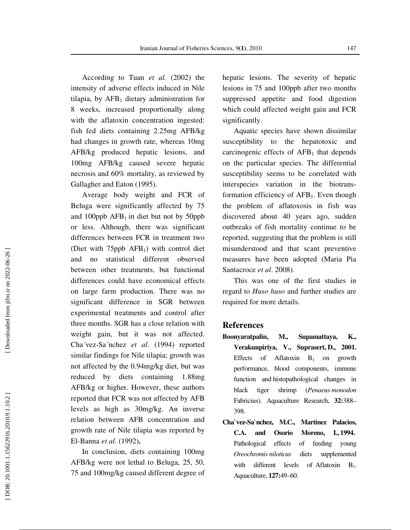According to Tuan *et al.* (2002) the intensity of adverse effects induced in Nile tilapia, by AFB <sup>1</sup> dietary administration for 8 weeks, increased proportionally along with the aflatoxin concentration ingested: fish fed diets containing 2.25mg AFB/kg had changes in growth rate, whereas 10mg AFB/kg produced hepatic lesions, and 100mg AFB/kg caused severe hepatic necrosis and 60% mortality, as reviewed by Gallagher and Eaton (1995).

Average body weight and FCR of Beluga were significantly affected by 75 and 100ppb  $AFB<sub>1</sub>$  in diet but not by 50ppb or less. Although, there was significant differences between FCR in treatment two (Diet with 75ppb AFB <sup>1</sup>) with control diet and no statistical different observed between other treatments, but functional differences could have economical effects on large farm production. There was no significant difference in SGR between experimental treatments and control after three months. SGR has a close relation with weight gain, but it was not affected. Cha´vez-Sa´nchez *et al*. (1994) reported similar findings for Nile tilapia; growth was not affected by the 0.94mg/kg diet, but was reduced by diets containing 1.88mg AFB/kg or higher. However, these authors reported that FCR was not affected by AFB levels as high as 30mg/kg. An inverse relation between AFB concentration and growth rate of Nile tilapia was reported by El-Banna *et al*. (1992)**.** 

In conclusion, diets containing 100mg AFB/kg were not lethal to Beluga, 25, 50, 75 and 100mg/kg caused different degree of hepatic lesions. The severity of hepatic lesions in 75 and 100ppb after two months suppressed appetite and food digestion which could affected weight gain and FCR significantly.

Aquatic species have shown dissimilar susceptibility to the hepatotoxic and carcinogenic effects of AFB <sup>1</sup> that depends on the particular species. The differential susceptibility seems to be correlated with interspecies variation in the biotransformation efficiency of  $AFB<sub>1</sub>$ . Even though the problem of aflatoxosis in fish was discovered about 40 years ago, sudden outbreaks of fish mortality continue to be reported, suggesting that the problem is still misunderstood and that scant preventive measures have been adopted (Maria Pia Santacroce *et al*. 2008).

This was one of the first studies in regard to *Huso huso* and further studies are required for more details.

#### **References**

- **Boonyaratpalin, M., Supamattaya, K., Verakunpiriya, V., Suprasert, D., 2001.** Effects of Aflatoxin  $B_1$  on growth performance, blood components, immune function and histopathological changes in black tiger shrimp (*Penaeus monodon*  Fabricius). Aquaculture Research, **32:**388– 398.
- **Cha`vez-Sa`nchez, M.C., Martinez Palacios, C.A. and Osorio Moreno, I., 1994.** Pathological effects of feeding young *Oreochromis niloticus* diets supplemented with different levels of Aflatoxin  $B_1$ . Aquaculture, **127:**49–60.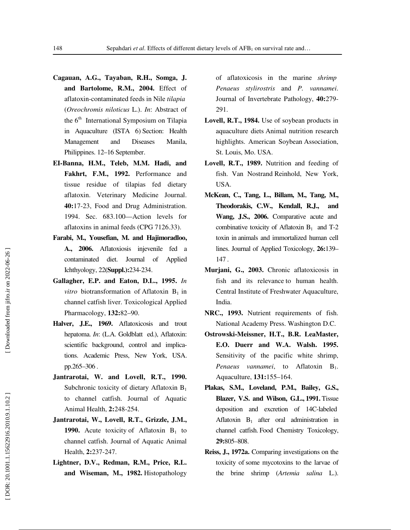- **Cagauan, A.G., Tayaban, R.H., Somga, J. and Bartolome, R.M., 2004.** Effect of aflatoxin-contaminated feeds in Nile *tilapia* (*Oreochromis niloticus* L.). *In*: Abstract of the  $6<sup>th</sup>$  International Symposium on Tilapia in Aquaculture (ISTA 6) Section: Health Management and Diseases Manila, Philippines. 12–16 September.
- **EI-Banna, H.M., Teleb, M.M. Hadi, and Fakhrt, F.M., 1992.** Performance and tissue residue of tilapias fed dietary aflatoxin. Veterinary Medicine Journal. **40:**17-23, Food and Drug Administration. 1994. Sec. 683.100—Action levels for aflatoxins in animal feeds (CPG 7126.33).
- **Farabi, M., Yousefian, M. and Hajimoradloo, A., 2006.** Aflatoxiosis injevenile fed a contaminated diet. Journal of Applied Ichthyology, 22**(Suppl.):**234-234.
- **Gallagher, E.P. and Eaton, D.L., 1995.** *In vitro* biotransformation of Aflatoxin  $B_1$  in channel catfish liver. Toxicological Applied Pharmacology, **132:**82–90.
- **Halver, J.E., 1969.** Aflatoxicosis and trout hepatoma. *In*: (L.A. Goldblatt ed.), Aflatoxin: scientific background, control and implications. Academic Press, New York, USA. pp.265–306 .
- **Jantrarotai, W. and Lovell, R.T., 1990.** Subchronic toxicity of dietary Aflatoxin B<sub>1</sub> to channel catfish. Journal of Aquatic Animal Health, **2:**248-254.
- **Jantrarotai, W., Lovell, R.T., Grizzle, J.M., 1990.** Acute toxicity of Aflatoxin  $B_1$  to channel catfish. Journal of Aquatic Animal Health, **2:**237-247.
- **Lightner, D.V., Redman, R.M., Price, R.L. and Wiseman, M., 1982.** Histopathology

of aflatoxicosis in the marine *shrimp Penaeus stylirostris* and *P. vannamei*. Journal of Invertebrate Pathology, **40:**279- 291.

- **Lovell, R.T., 1984.** Use of soybean products in aquaculture diets Animal nutrition research highlights. American Soybean Association, St. Louis, Mo. USA.
- **Lovell, R.T., 1989.** Nutrition and feeding of fish. Van Nostrand Reinhold, New York, USA.
- **McKean, C., Tang, L., Billam, M., Tang, M., Theodorakis, C.W., Kendall, R.J., and Wang, J.S., 2006.** Comparative acute and combinative toxicity of Aflatoxin  $B_1$  and T-2 toxin in animals and immortalized human cell lines. Journal of Applied Toxicology, **26:**139– 147 .
- **Murjani, G., 2003.** Chronic aflatoxicosis in fish and its relevance to human health. Central Institute of Freshwater Aquaculture, India.
- **NRC., 1993.** Nutrient requirements of fish. National Academy Press. Washington D.C.
- **Ostrowski-Meissner, H.T., B.R. LeaMaster, E.O. Duerr and W.A. Walsh. 1995.** Sensitivity of the pacific white shrimp, *Penaeus vannamei*, to Aflatoxin B 1. Aquaculture, **131:**155–164.
- **Plakas, S.M., Loveland, P.M., Bailey, G.S., Blazer, V.S. and Wilson, G.L., 1991.** Tissue deposition and excretion of 14C-labeled Aflatoxin B <sup>1</sup> after oral administration in channel catfish. Food Chemistry Toxicology, **29:**805–808 .
- **Reiss, J., 1972a.** Comparing investigations on the toxicity of some mycotoxins to the larvae of the brine shrimp (*Artemia salina* L.).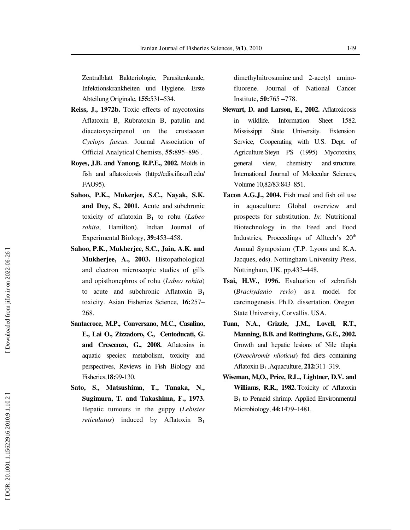Zentralblatt Bakteriologie, Parasitenkunde, Infektionskrankheiten und Hygiene. Erste Abteilung Originale, **155:**531–534.

- **Reiss, J., 1972b.** Toxic effects of mycotoxins Aflatoxin B, Rubratoxin B, patulin and diacetoxyscirpenol on the crustacean *Cyclops fuscus*. Journal Association of Official Analytical Chemists, **55:**895–896 .
- **Royes, J.B. and Yanong, R.P.E., 2002.** Molds in fish and aflatoxicosis (http://edis.ifas.ufl.edu/ FAO95).
- **Sahoo, P.K., Mukerjee, S.C., Nayak, S.K. and Dey, S., 2001.** Acute and subchronic toxicity of aflatoxin B <sup>1</sup> to rohu (*Labeo rohita*, Hamilton). Indian Journal of Experimental Biology, **39:**453–458.
- **Sahoo, P.K., Mukherjee, S.C., Jain, A.K. and Mukherjee, A., 2003.** Histopathological and electron microscopic studies of gills and opisthonephros of rohu (*Labeo rohita*) to acute and subchronic Aflatoxin  $B_1$ toxicity. Asian Fisheries Science, **16:**257– 268.
- **Santacroce, M.P., Conversano, M.C., Casalino, E., Lai O., Zizzadoro, C., Centoducati, G. and Crescenzo, G., 2008.** Aflatoxins in aquatic species: metabolism, toxicity and perspectives, Reviews in Fish Biology and Fisheries,**18:**99-130.
- **Sato, S., Matsushima, T., Tanaka, N., Sugimura, T. and Takashima, F., 1973.** Hepatic tumours in the guppy (*Lebistes reticulatus*) induced by Aflatoxin B 1

dimethylnitrosamine and 2-acetyl aminofluorene. Journal of National Cancer Institute, **50:**765 – 778.

- **Stewart, D. and Larson, E., 2002.** Aflatoxicosis in wildlife. Information Sheet 1582. Mississippi State University. Extension Service, Cooperating with U.S. Dept. of Agriculture Steyn PS (1995) Mycotoxins, general view, chemistry and structure. International Journal of Molecular Sciences, Volume 10,82/83:843–851.
- **Tacon A.G.J., 2004.** Fish meal and fish oil use in aquaculture: Global overview and prospects for substitution. *In*: Nutritional Biotechnology in the Feed and Food Industries, Proceedings of Alltech's 20<sup>th</sup> Annual Symposium (T.P. Lyons and K.A. Jacques, eds). Nottingham University Press, Nottingham, UK. pp.433–448.
- **Tsai, H.W., 1996.** Evaluation of zebrafish (*Brachydanio rerio*) as a model for carcinogenesis. Ph.D. dissertation. Oregon State University, Corvallis. USA.
- **Tuan, N.A., Grizzle, J.M., Lovell, R.T., Manning, B.B. and Rottinghaus, G.E., 2002.** Growth and hepatic lesions of Nile tilapia (*Oreochromis niloticus*) fed diets containing Aflatoxin B <sup>1</sup> .Aquaculture, **212:**311–319.
- **Wiseman, M,O., Price, R.L., Lightner, D.V. and Williams, R.R., 1982.** Toxicity of Aflatoxin B<sub>1</sub> to Penaeid shrimp. Applied Environmental Microbiology, **44:**1479–1481.